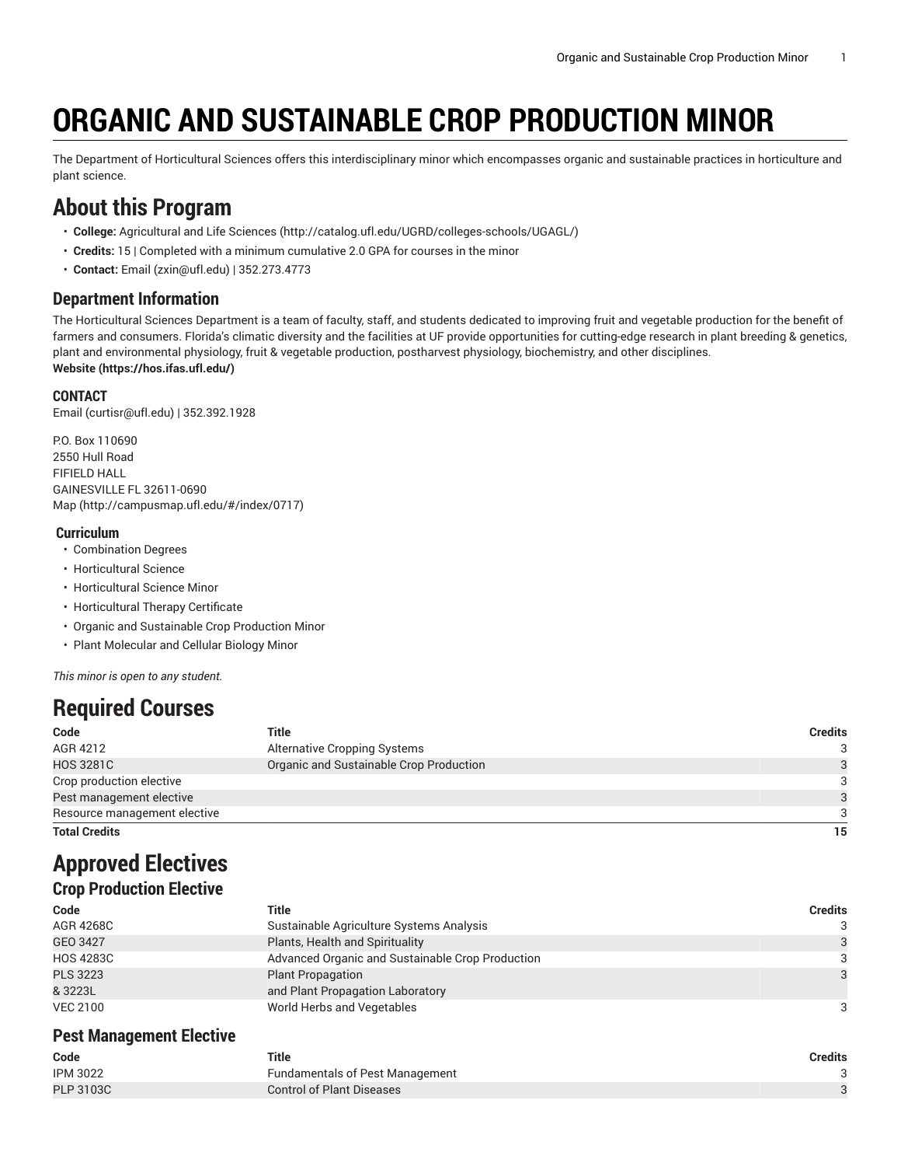# **ORGANIC AND SUSTAINABLE CROP PRODUCTION MINOR**

The Department of Horticultural Sciences offers this interdisciplinary minor which encompasses organic and sustainable practices in horticulture and plant science.

# **About this Program**

- **College:** [Agricultural](http://catalog.ufl.edu/UGRD/colleges-schools/UGAGL/) and Life Sciences ([http://catalog.ufl.edu/UGRD/colleges-schools/UGAGL/\)](http://catalog.ufl.edu/UGRD/colleges-schools/UGAGL/)
- **Credits:** 15 | Completed with a minimum cumulative 2.0 GPA for courses in the minor
- **Contact:** [Email](mailto:zxin@ufl.edu) [\(zxin@ufl.edu\)](zxin@ufl.edu) | 352.273.4773

### **Department Information**

The Horticultural Sciences Department is a team of faculty, staff, and students dedicated to improving fruit and vegetable production for the benefit of farmers and consumers. Florida's climatic diversity and the facilities at UF provide opportunities for cutting-edge research in plant breeding & genetics, plant and environmental physiology, fruit & vegetable production, postharvest physiology, biochemistry, and other disciplines. **[Website](https://hos.ifas.ufl.edu/) ([https://hos.ifas.ufl.edu/\)](https://hos.ifas.ufl.edu/)**

#### **CONTACT**

[Email](mailto:curtisr@ufl.edu) ([curtisr@ufl.edu\)](curtisr@ufl.edu) | 352.392.1928

P.O. Box 110690 2550 Hull Road FIFIELD HALL GAINESVILLE FL 32611-0690 [Map](http://campusmap.ufl.edu/#/index/0717) ([http://campusmap.ufl.edu/#/index/0717\)](http://campusmap.ufl.edu/#/index/0717)

#### **Curriculum**

- Combination Degrees
- Horticultural Science
- Horticultural Science Minor
- Horticultural Therapy Certificate
- Organic and Sustainable Crop Production Minor
- Plant Molecular and Cellular Biology Minor

*This minor is open to any student.*

# **Required Courses**

| Code                                                 | Title                                   | <b>Credits</b> |
|------------------------------------------------------|-----------------------------------------|----------------|
| AGR 4212                                             | Alternative Cropping Systems            |                |
| <b>HOS 3281C</b>                                     | Organic and Sustainable Crop Production |                |
| Crop production elective<br>Pest management elective |                                         |                |
|                                                      |                                         |                |
| Resource management elective                         |                                         |                |
| <b>Total Credits</b>                                 |                                         | 15             |

# **Approved Electives**

### **Crop Production Elective**

| Code             | Title                                            | <b>Credits</b> |
|------------------|--------------------------------------------------|----------------|
| AGR 4268C        | Sustainable Agriculture Systems Analysis         | 3              |
| GEO 3427         | Plants, Health and Spirituality                  | 3              |
| <b>HOS 4283C</b> | Advanced Organic and Sustainable Crop Production | 3              |
| <b>PLS 3223</b>  | <b>Plant Propagation</b>                         | $\mathcal{R}$  |
| & 3223L          | and Plant Propagation Laboratory                 |                |
| <b>VEC 2100</b>  | World Herbs and Vegetables                       | 3              |

### **Pest Management Elective**

| Code             | Title                                  | Credits |
|------------------|----------------------------------------|---------|
| <b>IPM 3022</b>  | <b>Fundamentals of Pest Management</b> |         |
| <b>PLP 3103C</b> | <b>Control of Plant Diseases</b>       |         |